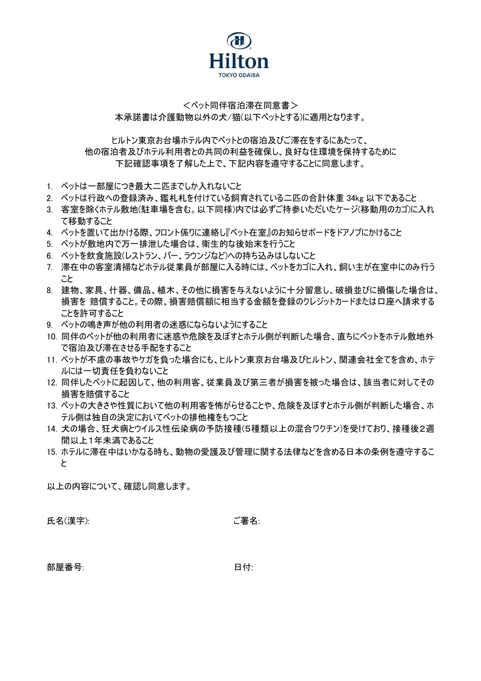

## <ペット同伴宿泊滞在同意書> 本承諾書は介護動物以外の犬/猫(以下ペットとする)に適用となります。

ヒルトン東京お台場ホテル内でペットとの宿泊及びご滞在をするにあたって、 他の宿泊者及びホテル利用者との共同の利益を確保し、良好な住環境を保持するために 下記確認事項を了解した上で、下記内容を遵守することに同意します。

- 1. ペットは一部屋につき最大二匹までしか入れないこと
- 2. ペットは行政への登録済み、鑑札札を付けている飼育されている二匹の合計体重 34kg 以下であること
- 3. 客室を除くホテル敷地(駐車場を含む。以下同様)内では必ずご持参いただいたケージ(移動用のカゴ)に入れ て移動すること
- 4. ペットを置いて出かける際、フロント係りに連絡し『ペット在室』のお知らせボードをドアノブにかけること
- 5. ペットが敷地内で万一排泄した場合は、衛生的な後始末を行うこと
- 6. ペットを飲食施設(レストラン、バー、ラウンジなど)への持ち込みはしないこと
- 7. 滞在中の客室清掃などホテル従業員が部屋に入る時には、ペットをカゴに入れ、飼い主が在室中にのみ行う こと
- 8. 建物、家具、什器、備品、植木、その他に損害を与えないように十分留意し、破損並びに損傷した場合は、 損害を 賠償すること。その際、損害賠償額に相当する金額を登録のクレジットカードまたは口座へ請求する ことを許可すること
- 9. ペットの鳴き声が他の利用者の迷惑にならないようにすること
- 10. 同伴のペットが他の利用者に迷惑や危険を及ぼすとホテル側が判断した場合、直ちにペットをホテル敷地外 で宿泊及び滞在させる手配をすること
- 11. ペットが不慮の事故やケガを負った場合にも、ヒルトン東京お台場及びヒルトン、関連会社全てを含め、ホテ ルには一切責任を負わないこと
- 12. 同伴したペットに起因して、他の利用客、従業員及び第三者が損害を被った場合は、該当者に対してその 損害を賠償すること
- 13. ペットの大きさや性質において他の利用客を怖がらせることや、危険を及ぼすとホテル側が判断した場合、ホ テル側は独自の決定においてペットの排他権をもつこと
- 14. 犬の場合、狂犬病とウイルス性伝染病の予防接種(5種類以上の混合ワクチン)を受けており、接種後2週 間以上1年未満であること
- 15. ホテルに滞在中はいかなる時も、動物の愛護及び管理に関する法律などを含める日本の条例を遵守するこ と

以上の内容について、確認し同意します。

氏名(漢字): こうきょう こうしょう ご署名:

部屋番号: アンチョウ インドランド ロイン ロイン ロイン ロイン ロイン ロイン ロイン ロール こくしゃ ロイン こくしゃ こくしゃ こくしゃ こくしゃ こくしゃ